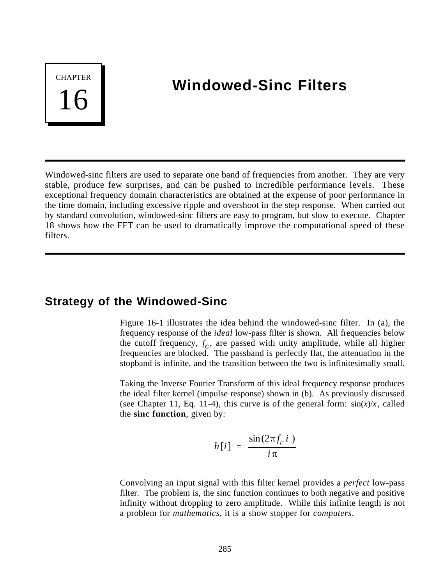# **CHAPTER** 16

# **Windowed-Sinc Filters**

Windowed-sinc filters are used to separate one band of frequencies from another. They are very stable, produce few surprises, and can be pushed to incredible performance levels. These exceptional frequency domain characteristics are obtained at the expense of poor performance in the time domain, including excessive ripple and overshoot in the step response. When carried out by standard convolution, windowed-sinc filters are easy to program, but slow to execute. Chapter 18 shows how the FFT can be used to dramatically improve the computational speed of these filters.

# **Strategy of the Windowed-Sinc**

Figure 16-1 illustrates the idea behind the windowed-sinc filter. In (a), the frequency response of the *ideal* low-pass filter is shown. All frequencies below the cutoff frequency,  $f_c$ , are passed with unity amplitude, while all higher frequencies are blocked. The passband is perfectly flat, the attenuation in the stopband is infinite, and the transition between the two is infinitesimally small.

Taking the Inverse Fourier Transform of this ideal frequency response produces the ideal filter kernel (impulse response) shown in (b). As previously discussed (see Chapter 11, Eq. 11-4), this curve is of the general form:  $\sin(x)/x$ , called the **sinc function**, given by:

$$
h[i] = \frac{\sin(2\pi f_c i)}{i\pi}
$$

Convolving an input signal with this filter kernel provides a *perfect* low-pass filter. The problem is, the sinc function continues to both negative and positive infinity without dropping to zero amplitude. While this infinite length is not a problem for *mathematics*, it is a show stopper for *computers*.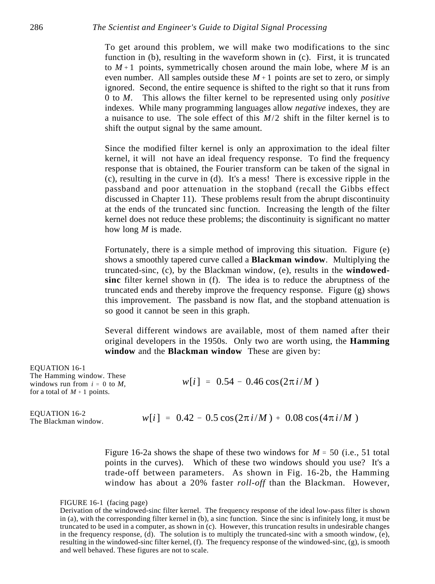To get around this problem, we will make two modifications to the sinc function in (b), resulting in the waveform shown in (c). First, it is truncated to  $M+1$  points, symmetrically chosen around the main lobe, where M is an even number. All samples outside these  $M+1$  points are set to zero, or simply ignored. Second, the entire sequence is shifted to the right so that it runs from 0 to *M*. This allows the filter kernel to be represented using only *positive* indexes. While many programming languages allow *negative* indexes, they are a nuisance to use. The sole effect of this *M*/2 shift in the filter kernel is to shift the output signal by the same amount.

Since the modified filter kernel is only an approximation to the ideal filter kernel, it will not have an ideal frequency response. To find the frequency response that is obtained, the Fourier transform can be taken of the signal in (c), resulting in the curve in (d). It's a mess! There is excessive ripple in the passband and poor attenuation in the stopband (recall the Gibbs effect discussed in Chapter 11). These problems result from the abrupt discontinuity at the ends of the truncated sinc function. Increasing the length of the filter kernel does not reduce these problems; the discontinuity is significant no matter how long *M* is made.

Fortunately, there is a simple method of improving this situation. Figure (e) shows a smoothly tapered curve called a **Blackman window**. Multiplying the truncated-sinc, (c), by the Blackman window, (e), results in the **windowedsinc** filter kernel shown in (f). The idea is to reduce the abruptness of the truncated ends and thereby improve the frequency response. Figure (g) shows this improvement. The passband is now flat, and the stopband attenuation is so good it cannot be seen in this graph.

Several different windows are available, most of them named after their original developers in the 1950s. Only two are worth using, the **Hamming window** and the **Blackman window** These are given by:

 $w[i] = 0.54 - 0.46 \cos(2\pi i/M)$ EQUATION 16-1 The Hamming window. These windows run from  $i = 0$  to  $M$ , for a total of  $M + 1$  points. EQUATION 16-2

 $w[i] = 0.42 - 0.5 \cos(2\pi i/M) + 0.08 \cos(4\pi i/M)$ 

Figure 16-2a shows the shape of these two windows for  $M = 50$  (i.e., 51 total points in the curves). Which of these two windows should you use? It's a trade-off between parameters. As shown in Fig. 16-2b, the Hamming window has about a 20% faster *roll-off* than the Blackman. However,

#### FIGURE 16-1 (facing page)

The Blackman window.

Derivation of the windowed-sinc filter kernel. The frequency response of the ideal low-pass filter is shown in (a), with the corresponding filter kernel in (b), a sinc function. Since the sinc is infinitely long, it must be truncated to be used in a computer, as shown in (c). However, this truncation results in undesirable changes in the frequency response, (d). The solution is to multiply the truncated-sinc with a smooth window,  $(e)$ , resulting in the windowed-sinc filter kernel, (f). The frequency response of the windowed-sinc, (g), is smooth and well behaved. These figures are not to scale.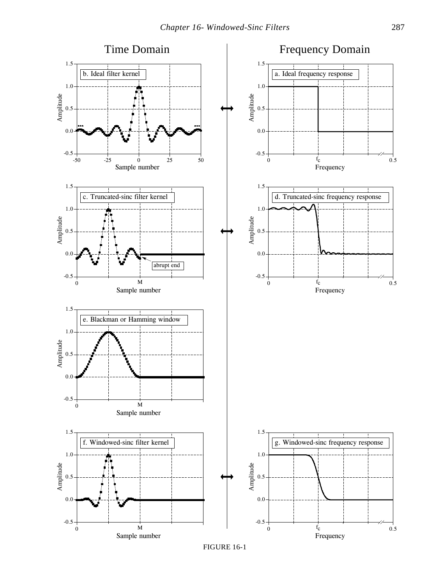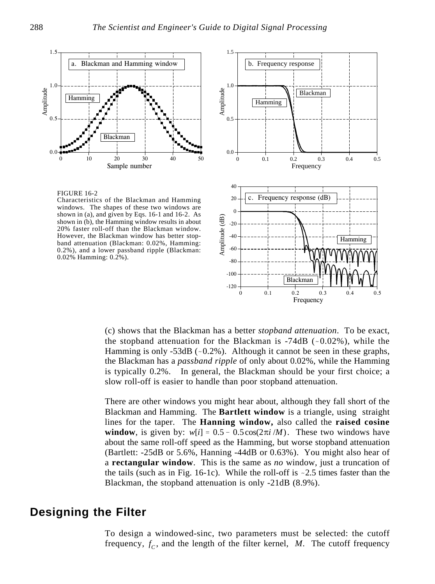

FIGURE 16-2

Characteristics of the Blackman and Hamming windows. The shapes of these two windows are shown in (a), and given by Eqs. 16-1 and 16-2. As shown in (b), the Hamming window results in about 20% faster roll-off than the Blackman window. However, the Blackman window has better stopband attenuation (Blackman: 0.02%, Hamming: 0.2%), and a lower passband ripple (Blackman: 0.02% Hamming: 0.2%).



(c) shows that the Blackman has a better *stopband attenuation*. To be exact, the stopband attenuation for the Blackman is  $-74dB$  ( $-0.02\%$ ), while the Hamming is only -53dB  $(-0.2\%)$ . Although it cannot be seen in these graphs, the Blackman has a *passband ripple* of only about 0.02%, while the Hamming is typically 0.2%. In general, the Blackman should be your first choice; a slow roll-off is easier to handle than poor stopband attenuation.

There are other windows you might hear about, although they fall short of the Blackman and Hamming. The **Bartlett window** is a triangle, using straight lines for the taper. The **Hanning window,** also called the **raised cosine window**, is given by:  $w[i] = 0.5 - 0.5 \cos(2\pi i/M)$ . These two windows have about the same roll-off speed as the Hamming, but worse stopband attenuation (Bartlett: -25dB or 5.6%, Hanning -44dB or 0.63%). You might also hear of a **rectangular window**. This is the same as *no* window, just a truncation of the tails (such as in Fig. 16-1c). While the roll-off is  $\sim$  2.5 times faster than the Blackman, the stopband attenuation is only -21dB (8.9%).

# **Designing the Filter**

To design a windowed-sinc, two parameters must be selected: the cutoff frequency,  $f_c$ , and the length of the filter kernel, *M*. The cutoff frequency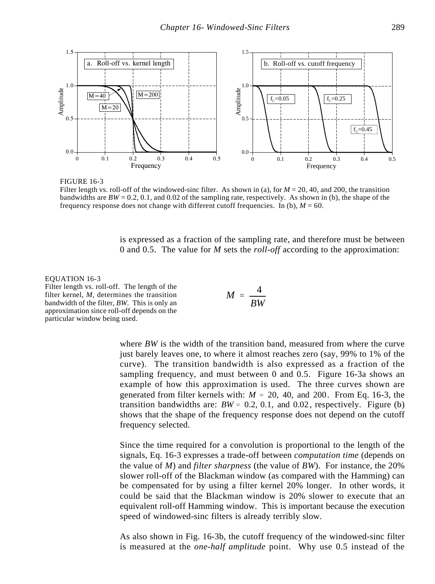

FIGURE 16-3

Filter length vs. roll-off of the windowed-sinc filter. As shown in (a), for  $M = 20, 40,$  and 200, the transition bandwidths are  $BW = 0.2, 0.1$ , and 0.02 of the sampling rate, respectively. As shown in (b), the shape of the frequency response does not change with different cutoff frequencies. In (b),  $M = 60$ .

is expressed as a fraction of the sampling rate, and therefore must be between 0 and 0.5. The value for *M* sets the *roll-off* according to the approximation:

#### EQUATION 16-3

Filter length vs. roll-off. The length of the filter kernel, *M*, determines the transition bandwidth of the filter, *BW.* This is only an approximation since roll-off depends on the particular window being used.

$$
M \approx \frac{4}{BW}
$$

where *BW* is the width of the transition band, measured from where the curve just barely leaves one, to where it almost reaches zero (say, 99% to 1% of the curve). The transition bandwidth is also expressed as a fraction of the sampling frequency, and must between 0 and 0.5. Figure 16-3a shows an example of how this approximation is used. The three curves shown are generated from filter kernels with:  $M = 20$ , 40, and 200. From Eq. 16-3, the transition bandwidths are:  $BW = 0.2, 0.1$ , and  $0.02$ , respectively. Figure (b) shows that the shape of the frequency response does not depend on the cutoff frequency selected.

Since the time required for a convolution is proportional to the length of the signals, Eq. 16-3 expresses a trade-off between *computation time* (depends on the value of *M*) and *filter sharpness* (the value of *BW*). For instance, the 20% slower roll-off of the Blackman window (as compared with the Hamming) can be compensated for by using a filter kernel 20% longer. In other words, it could be said that the Blackman window is 20% slower to execute that an equivalent roll-off Hamming window. This is important because the execution speed of windowed-sinc filters is already terribly slow.

As also shown in Fig. 16-3b, the cutoff frequency of the windowed-sinc filter is measured at the *one-half amplitude* point. Why use 0.5 instead of the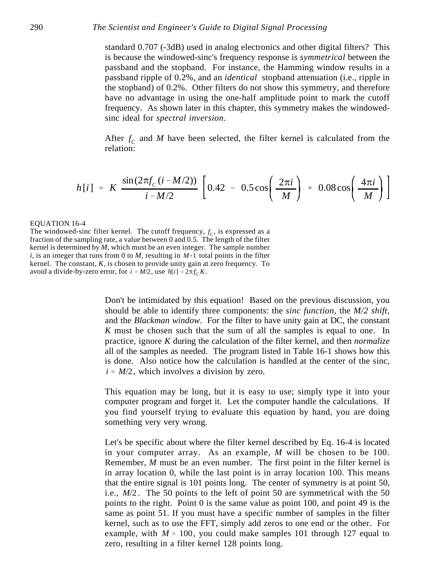standard 0.707 (-3dB) used in analog electronics and other digital filters? This is because the windowed-sinc's frequency response is *symmetrical* between the passband and the stopband. For instance, the Hamming window results in a passband ripple of 0.2%, and an *identical* stopband attenuation (i.e., ripple in the stopband) of 0.2%. Other filters do not show this symmetry, and therefore have no advantage in using the one-half amplitude point to mark the cutoff frequency. As shown later in this chapter, this symmetry makes the windowedsinc ideal for *spectral inversion*.

After  $f_c$  and *M* have been selected, the filter kernel is calculated from the relation:

$$
h[i] = K \frac{\sin(2\pi f_c (i - M/2))}{i - M/2} \left[ 0.42 - 0.5 \cos\left(\frac{2\pi i}{M}\right) + 0.08 \cos\left(\frac{4\pi i}{M}\right) \right]
$$

#### EQUATION 16-4

The windowed-sinc filter kernel. The cutoff frequency,  $f_c$ , is expressed as a fraction of the sampling rate, a value between 0 and 0.5. The length of the filter kernel is determined by *M*, which must be an even integer. The sample number  $i$ , is an integer that runs from 0 to *M*, resulting in  $M+1$  total points in the filter kernel. The constant, *K*, is chosen to provide unity gain at zero frequency. To avoid a divide-by-zero error, for  $i = M/2$ , use  $h[i] = 2\pi f_c K$ .

> Don't be intimidated by this equation! Based on the previous discussion, you should be able to identify three components: the *sinc function*, the *M/2 shift*, and the *Blackman window*. For the filter to have unity gain at DC, the constant *K* must be chosen such that the sum of all the samples is equal to one. In practice, ignore *K* during the calculation of the filter kernel, and then *normalize* all of the samples as needed. The program listed in Table 16-1 shows how this is done. Also notice how the calculation is handled at the center of the sinc,  $i = M/2$ , which involves a division by zero.

> This equation may be long, but it is easy to use; simply type it into your computer program and forget it. Let the computer handle the calculations. If you find yourself trying to evaluate this equation by hand, you are doing something very very wrong.

> Let's be specific about where the filter kernel described by Eq. 16-4 is located in your computer array. As an example, *M* will be chosen to be 100. Remember, *M* must be an even number. The first point in the filter kernel is in array location 0, while the last point is in array location 100. This means that the entire signal is 101 points long. The center of symmetry is at point 50, i.e.,  $M/2$ . The 50 points to the left of point 50 are symmetrical with the 50 points to the right. Point 0 is the same value as point 100, and point 49 is the same as point 51. If you must have a specific number of samples in the filter kernel, such as to use the FFT, simply add zeros to one end or the other. For example, with  $M = 100$ , you could make samples 101 through 127 equal to zero, resulting in a filter kernel 128 points long.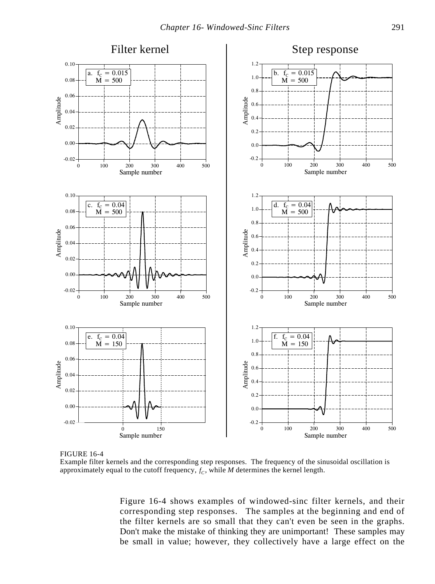



Example filter kernels and the corresponding step responses. The frequency of the sinusoidal oscillation is approximately equal to the cutoff frequency,  $f_c$ , while  $M$  determines the kernel length.

Figure 16-4 shows examples of windowed-sinc filter kernels, and their corresponding step responses. The samples at the beginning and end of the filter kernels are so small that they can't even be seen in the graphs. Don't make the mistake of thinking they are unimportant! These samples may be small in value; however, they collectively have a large effect on the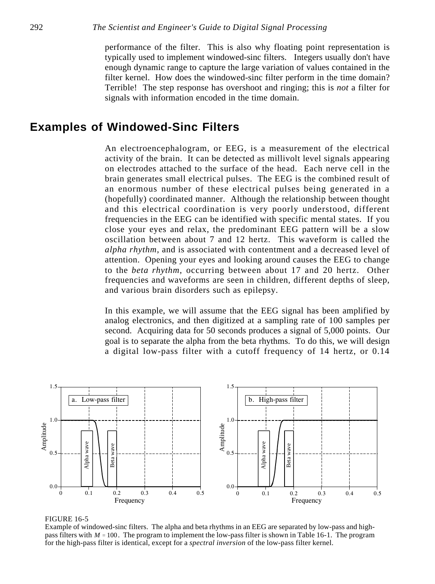performance of the filter. This is also why floating point representation is typically used to implement windowed-sinc filters. Integers usually don't have enough dynamic range to capture the large variation of values contained in the filter kernel. How does the windowed-sinc filter perform in the time domain? Terrible! The step response has overshoot and ringing; this is *not* a filter for signals with information encoded in the time domain.

# **Examples of Windowed-Sinc Filters**

An electroencephalogram, or EEG, is a measurement of the electrical activity of the brain. It can be detected as millivolt level signals appearing on electrodes attached to the surface of the head. Each nerve cell in the brain generates small electrical pulses. The EEG is the combined result of an enormous number of these electrical pulses being generated in a (hopefully) coordinated manner. Although the relationship between thought and this electrical coordination is very poorly understood, different frequencies in the EEG can be identified with specific mental states. If you close your eyes and relax, the predominant EEG pattern will be a slow oscillation between about 7 and 12 hertz. This waveform is called the *alpha rhythm*, and is associated with contentment and a decreased level of attention. Opening your eyes and looking around causes the EEG to change to the *beta rhythm*, occurring between about 17 and 20 hertz. Other frequencies and waveforms are seen in children, different depths of sleep, and various brain disorders such as epilepsy.

In this example, we will assume that the EEG signal has been amplified by analog electronics, and then digitized at a sampling rate of 100 samples per second. Acquiring data for 50 seconds produces a signal of 5,000 points. Our goal is to separate the alpha from the beta rhythms. To do this, we will design a digital low-pass filter with a cutoff frequency of 14 hertz, or 0.14



#### FIGURE 16-5

Example of windowed-sinc filters. The alpha and beta rhythms in an EEG are separated by low-pass and highpass filters with  $M = 100$ . The program to implement the low-pass filter is shown in Table 16-1. The program for the high-pass filter is identical, except for a *spectral inversion* of the low-pass filter kernel.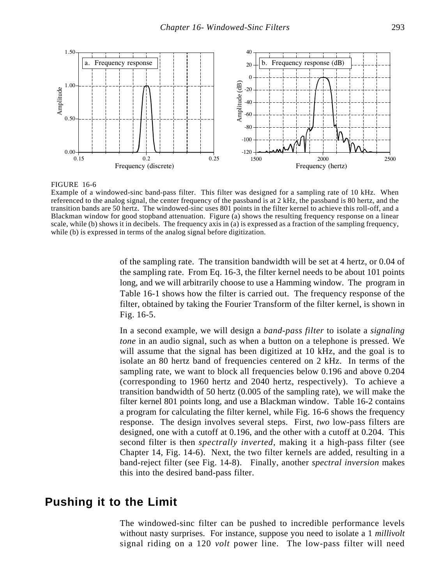

#### FIGURE 16-6

Example of a windowed-sinc band-pass filter. This filter was designed for a sampling rate of 10 kHz. When referenced to the analog signal, the center frequency of the passband is at 2 kHz, the passband is 80 hertz, and the transition bands are 50 hertz. The windowed-sinc uses 801 points in the filter kernel to achieve this roll-off, and a Blackman window for good stopband attenuation. Figure (a) shows the resulting frequency response on a linear scale, while (b) shows it in decibels. The frequency axis in (a) is expressed as a fraction of the sampling frequency,

of the sampling rate. The transition bandwidth will be set at 4 hertz, or 0.04 of the sampling rate. From Eq. 16-3, the filter kernel needs to be about 101 points long, and we will arbitrarily choose to use a Hamming window. The program in Table 16-1 shows how the filter is carried out. The frequency response of the filter, obtained by taking the Fourier Transform of the filter kernel, is shown in Fig. 16-5.

In a second example, we will design a *band-pass filter* to isolate a *signaling tone* in an audio signal, such as when a button on a telephone is pressed. We will assume that the signal has been digitized at 10 kHz, and the goal is to isolate an 80 hertz band of frequencies centered on 2 kHz. In terms of the sampling rate, we want to block all frequencies below 0.196 and above 0.204 (corresponding to 1960 hertz and 2040 hertz, respectively). To achieve a transition bandwidth of 50 hertz (0.005 of the sampling rate), we will make the filter kernel 801 points long, and use a Blackman window. Table 16-2 contains a program for calculating the filter kernel, while Fig. 16-6 shows the frequency response. The design involves several steps. First, *two* low-pass filters are designed, one with a cutoff at 0.196, and the other with a cutoff at 0.204. This second filter is then *spectrally inverted*, making it a high-pass filter (see Chapter 14, Fig. 14-6). Next, the two filter kernels are added, resulting in a band-reject filter (see Fig. 14-8). Finally, another *spectral inversion* makes this into the desired band-pass filter.

### **Pushing it to the Limit**

The windowed-sinc filter can be pushed to incredible performance levels without nasty surprises. For instance, suppose you need to isolate a 1 *millivolt* signal riding on a 120 *volt* power line. The low-pass filter will need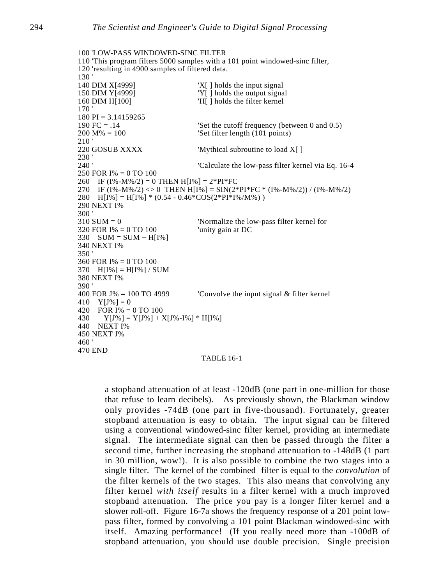```
100 'LOW-PASS WINDOWED-SINC FILTER 
110 'This program filters 5000 samples with a 101 point windowed-sinc filter, 
120 'resulting in 4900 samples of filtered data.
130 '<br>140 DIM X[4999]
140 DIM X[4999] <sup>'X[]</sup> holds the input signal<br>150 DIM Y[4999] <sup>'Y[]</sup> holds the output signa
                                    'Y[ ] holds the output signal
160 DIM H[100] 'H[ ] holds the filter kernel
170 '
180 PI = 3.14159265<br>190 FC = .14'Set the cutoff frequency (between 0 and 0.5)
200 M\% = 100 'Set filter length (101 points)
210 '
220 GOSUB XXXX 'Mythical subroutine to load X[ ]
230'<br>240''Calculate the low-pass filter kernel via Eq. 16-4
250 FOR I% = 0 TO 100
260 IF (I\% - M\% / 2) = 0 THEN H[I%] = 2*PI*FC
270 IF (I%-M%/2) > 0 THEN H[I%] = SIN(2*PI*FC * (I%-M%/2)) / (I%-M%/2)
280 H[I%] = H[I%] * (0.54 - 0.46*COS(2*PI*I%/M%))
290 NEXT I%
300 '
310 SUM = 0 \degree 'Normalize the low-pass filter kernel for 320 FOR I% = 0 TO 100 \degree 'unity gain at DC
320 FOR I% = 0 TO 100
330 SUM = SUM + H[I%]
340 NEXT I%
350 '
360 FOR I% = 0 TO 100
370 H[I\%] = H[I\%]/SUM380 NEXT I%
390 '<br>400 FOR J% = 100 TO 4999
                                    'Convolve the input signal & filter kernel
410 Y[J\%] = 0420 FOR I% = 0 TO 100
430 Y[J%] = Y[J%] + X[J%-I%] * H[I%]
440 NEXT I%
450 NEXT J%
460 '
470 END
```
#### TABLE 16-1

a stopband attenuation of at least -120dB (one part in one-million for those that refuse to learn decibels). As previously shown, the Blackman window only provides -74dB (one part in five-thousand). Fortunately, greater stopband attenuation is easy to obtain. The input signal can be filtered using a conventional windowed-sinc filter kernel, providing an intermediate signal. The intermediate signal can then be passed through the filter a second time, further increasing the stopband attenuation to -148dB (1 part in 30 million, wow!). It is also possible to combine the two stages into a single filter. The kernel of the combined filter is equal to the *convolution* of the filter kernels of the two stages. This also means that convolving any filter kernel *with itself* results in a filter kernel with a much improved stopband attenuation. The price you pay is a longer filter kernel and a slower roll-off. Figure 16-7a shows the frequency response of a 201 point lowpass filter, formed by convolving a 101 point Blackman windowed-sinc with itself. Amazing performance! (If you really need more than -100dB of stopband attenuation, you should use double precision. Single precision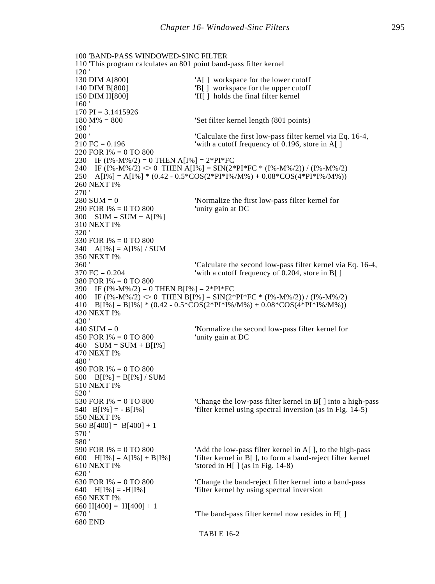```
100 'BAND-PASS WINDOWED-SINC FILTER
110 'This program calculates an 801 point band-pass filter kernel
120 '
130 DIM A[800] \vert 'A[ ] workspace for the lower cutoff
140 DIM B[800] <sup>'B[]</sup> workspace for the upper cutoff
150 DIM H[800] <sup>'H[]</sup> holds the final filter kernel
160 '
170 \text{ PI} = 3.1415926180 M% = 800 'Set filter kernel length (801 points)
\frac{190}{200}200 ' 200 ' 210 \text{ FC} = 0.196 ' 210 \text{ FC} = 0.196 ' with a cutoff frequency of 0.196, store in A[1]
                                        'with a cutoff frequency of 0.196, store in A\lceil ]
220 FOR I% = 0 TO 800
230 IF (I\% - M\% / 2) = 0 THEN A[I%] = 2*PI*FC
240 IF (I%-M%/2) > 0 THEN A[I%] = SIN(2*PI*FC * (I%-M%/2)) / (I%-M%/2)
250 A[I%] = A[I%] * (0.42 - 0.5 \text{*} \text{COS}(2 \text{ *} \text{PI} \text{ *} \text{I} \text{w} / \text{M} \text{w}) + 0.08 \text{ *} \text{COS}(4 \text{ *} \text{PI} \text{ *} \text{I} \text{w} / \text{M} \text{w}))260 NEXT I%
270'<br>280 SUM = 0
                                        'Normalize the first low-pass filter kernel for 'unity gain at DC
290 FOR I% = 0 TO 800
300 SUM = SUM + A[I%]
310 NEXT I%
320 '
330 FOR I% = 0 TO 800
340 A[I%] = A[I%] / SUM
350 NEXT I%<br>360 '
360' 'Calculate the second low-pass filter kernel via Eq. 16-4,<br>370 \text{ FC} = 0.204 'with a cutoff frequency of 0.204, store in B[1]
                                        'with a cutoff frequency of 0.204, store in B[\vert]
380 FOR I% = 0 TO 800
390 IF (I\% - M\% / 2) = 0 THEN B[I%] = 2*PI*FC
400 IF (I%-M%/2) <> 0 THEN B[I%] = SIN(2*PI*FC * (I%-M%/2)) / (I%-M%/2)
410 \text{ B}[1\%] = B[1\%] * (0.42 - 0.5 * COS(2*PI*1\% /M\%) + 0.08 * COS(4*PI*1\% /M\%))420 NEXT I%
430 '
440 \text{ SUM} = 0<br>
450 \text{ FOR } 1\% = 0 \text{ TO } 800 'unity gain at DC
450 FOR I% = 0 TO 800
460 SUM = SUM + B[I%]
470 NEXT I%
480 '
490 FOR I% = 0 TO 800
500 B[I\%] = B[I\%] / SUM510 NEXT I%
520 '<br>530 FOR I% = 0 TO 800
530 FOR I% = 0 TO 800 <br>540 B[I%] = - B[I%] \frac{1}{2} 'filter kernel using spectral inversion (as in Fig. 14-5)
                                        'filter kernel using spectral inversion (as in Fig. 14-5)
550 NEXT I% 
560 B[400] = B[400] + 1570 ' 
580 '
590 FOR I% = 0 TO 800 <br>600 H[I%] = A[I%] + B[I%] <br>filter kernel in B[ ], to form a band-reject filter kernel
600 H[I%] = A[I%] + B[I%] 'filter kernel in B[ ], to form a band-reject filter kernel 610 NEXT I% 'stored in H[ ] (as in Fig. 14-8)
                                        'stored in H[ ] (as in Fig. 14-8)
620 '<br>630 FOR I% = 0 TO 800
630 FOR I% = 0 TO 800 <br>640 H[I%] \rightarrow Filter kernel by using spectral inversion<br>640 H[I%] \rightarrow Filter kernel by using spectral inversion
                                        filter kernel by using spectral inversion
650 NEXT I% 
660 H[400] = H[400] + 1
670 ' 'The band-pass filter kernel now resides in H[ ]
680 END
                                           TABLE 16-2
```